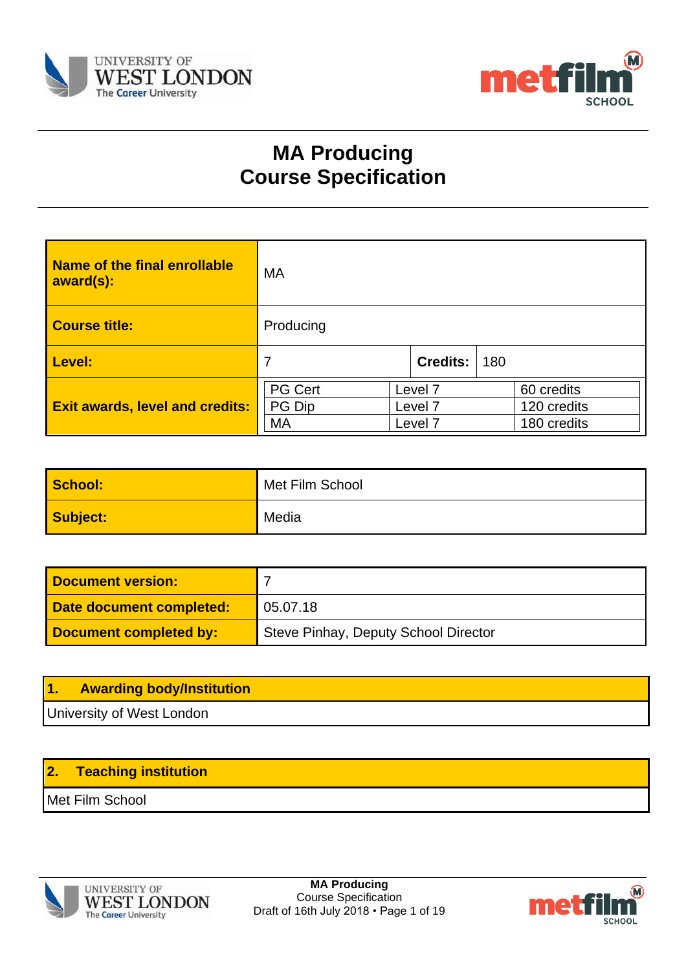



# **MA Producing Course Specification**

| Name of the final enrollable<br>award(s): | MA                             |                                          |                 |                                          |  |
|-------------------------------------------|--------------------------------|------------------------------------------|-----------------|------------------------------------------|--|
| <b>Course title:</b>                      | Producing                      |                                          |                 |                                          |  |
| Level:                                    | 7                              |                                          | <b>Credits:</b> | 180                                      |  |
| <b>Exit awards, level and credits:</b>    | <b>PG Cert</b><br>PG Dip<br>MA | Level 7<br>Level 7<br>Level <sub>7</sub> |                 | 60 credits<br>120 credits<br>180 credits |  |

| School:  | Met Film School |
|----------|-----------------|
| Subject: | Media           |

| <b>Document version:</b> |                                      |
|--------------------------|--------------------------------------|
| Date document completed: | 05.07.18                             |
| Document completed by:   | Steve Pinhay, Deputy School Director |

| $\mathbf{11}$ | <b>Awarding body/Institution</b> |
|---------------|----------------------------------|
|               | University of West London        |

# **2. Teaching institution**

Met Film School



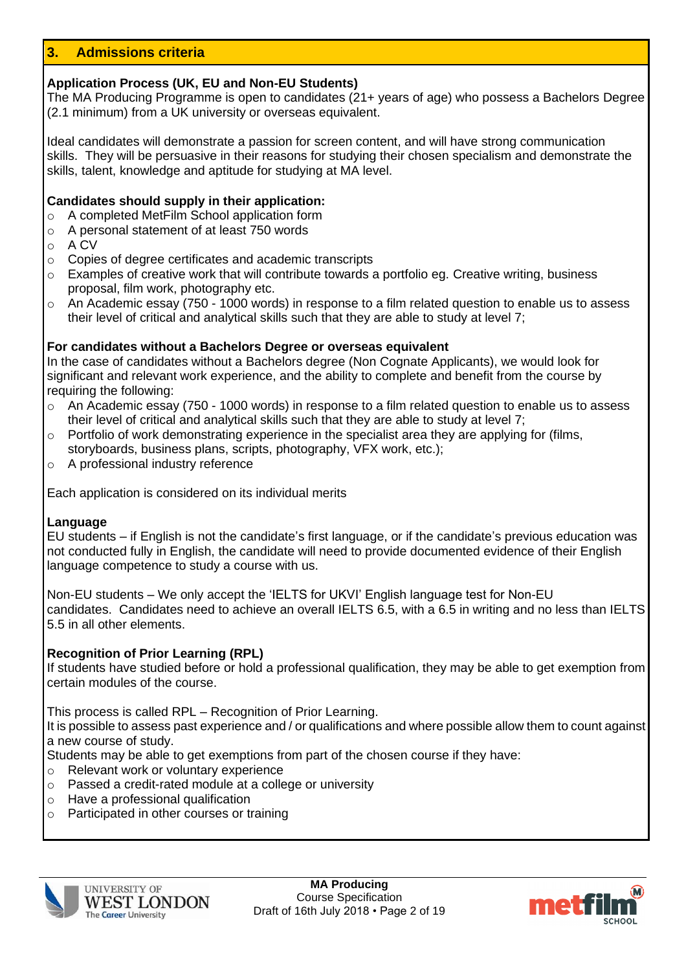# **3. Admissions criteria**

### **Application Process (UK, EU and Non-EU Students)**

The MA Producing Programme is open to candidates (21+ years of age) who possess a Bachelors Degree (2.1 minimum) from a UK university or overseas equivalent.

Ideal candidates will demonstrate a passion for screen content, and will have strong communication skills. They will be persuasive in their reasons for studying their chosen specialism and demonstrate the skills, talent, knowledge and aptitude for studying at MA level.

#### **Candidates should supply in their application:**

- o A completed MetFilm School application form
- o A personal statement of at least 750 words
- o A CV
- o Copies of degree certificates and academic transcripts
- $\circ$  Examples of creative work that will contribute towards a portfolio eq. Creative writing, business proposal, film work, photography etc.
- $\circ$  An Academic essay (750 1000 words) in response to a film related question to enable us to assess their level of critical and analytical skills such that they are able to study at level 7;

### **For candidates without a Bachelors Degree or overseas equivalent**

In the case of candidates without a Bachelors degree (Non Cognate Applicants), we would look for significant and relevant work experience, and the ability to complete and benefit from the course by requiring the following:

- o An Academic essay (750 1000 words) in response to a film related question to enable us to assess their level of critical and analytical skills such that they are able to study at level 7;
- o Portfolio of work demonstrating experience in the specialist area they are applying for (films, storyboards, business plans, scripts, photography, VFX work, etc.);
- o A professional industry reference

Each application is considered on its individual merits

#### **Language**

EU students – if English is not the candidate's first language, or if the candidate's previous education was not conducted fully in English, the candidate will need to provide documented evidence of their English language competence to study a course with us.

Non-EU students – We only accept the 'IELTS for UKVI' English language test for Non-EU candidates. Candidates need to achieve an overall IELTS 6.5, with a 6.5 in writing and no less than IELTS 5.5 in all other elements.

#### **Recognition of Prior Learning (RPL)**

If students have studied before or hold a professional qualification, they may be able to get exemption from certain modules of the course.

This process is called RPL – Recognition of Prior Learning.

It is possible to assess past experience and / or qualifications and where possible allow them to count against a new course of study.

Students may be able to get exemptions from part of the chosen course if they have:

- o Relevant work or voluntary experience
- o Passed a credit-rated module at a college or university
- o Have a professional qualification
- o Participated in other courses or training



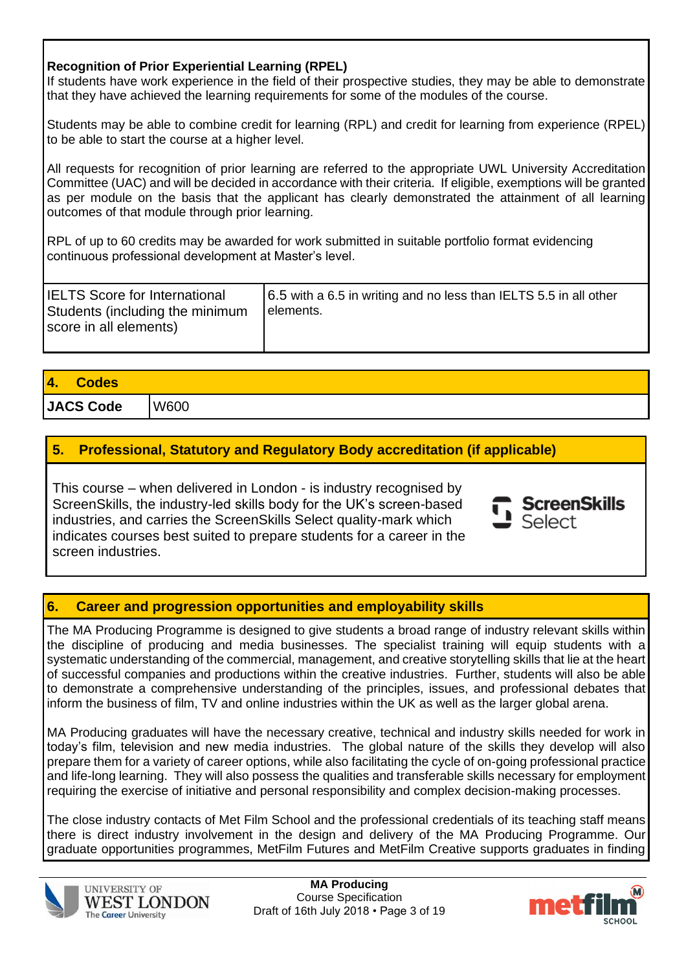# **Recognition of Prior Experiential Learning (RPEL)**

If students have work experience in the field of their prospective studies, they may be able to demonstrate that they have achieved the learning requirements for some of the modules of the course.

Students may be able to combine credit for learning (RPL) and credit for learning from experience (RPEL) to be able to start the course at a higher level.

All requests for recognition of prior learning are referred to the appropriate UWL University Accreditation Committee (UAC) and will be decided in accordance with their criteria. If eligible, exemptions will be granted as per module on the basis that the applicant has clearly demonstrated the attainment of all learning outcomes of that module through prior learning.

RPL of up to 60 credits may be awarded for work submitted in suitable portfolio format evidencing continuous professional development at Master's level.

| <b>IELTS Score for International</b><br>Students (including the minimum<br>score in all elements) | 6.5 with a 6.5 in writing and no less than IELTS 5.5 in all other<br>l elements. |
|---------------------------------------------------------------------------------------------------|----------------------------------------------------------------------------------|
|                                                                                                   |                                                                                  |

| <b>14.</b><br><b>Codes</b> |      |
|----------------------------|------|
| JACS Code                  | W600 |

# **5. Professional, Statutory and Regulatory Body accreditation (if applicable)**

This course – when delivered in London - is industry recognised by ScreenSkills, the industry-led skills body for the UK's screen-based industries, and carries the ScreenSkills Select quality-mark which indicates courses best suited to prepare students for a career in the screen industries.

# **6. Career and progression opportunities and employability skills**

The MA Producing Programme is designed to give students a broad range of industry relevant skills within the discipline of producing and media businesses. The specialist training will equip students with a systematic understanding of the commercial, management, and creative storytelling skills that lie at the heart of successful companies and productions within the creative industries. Further, students will also be able to demonstrate a comprehensive understanding of the principles, issues, and professional debates that inform the business of film, TV and online industries within the UK as well as the larger global arena.

MA Producing graduates will have the necessary creative, technical and industry skills needed for work in today's film, television and new media industries. The global nature of the skills they develop will also prepare them for a variety of career options, while also facilitating the cycle of on-going professional practice and life-long learning. They will also possess the qualities and transferable skills necessary for employment requiring the exercise of initiative and personal responsibility and complex decision-making processes.

The close industry contacts of Met Film School and the professional credentials of its teaching staff means there is direct industry involvement in the design and delivery of the MA Producing Programme. Our graduate opportunities programmes, MetFilm Futures and MetFilm Creative supports graduates in finding





**ScreenSkills** 

Select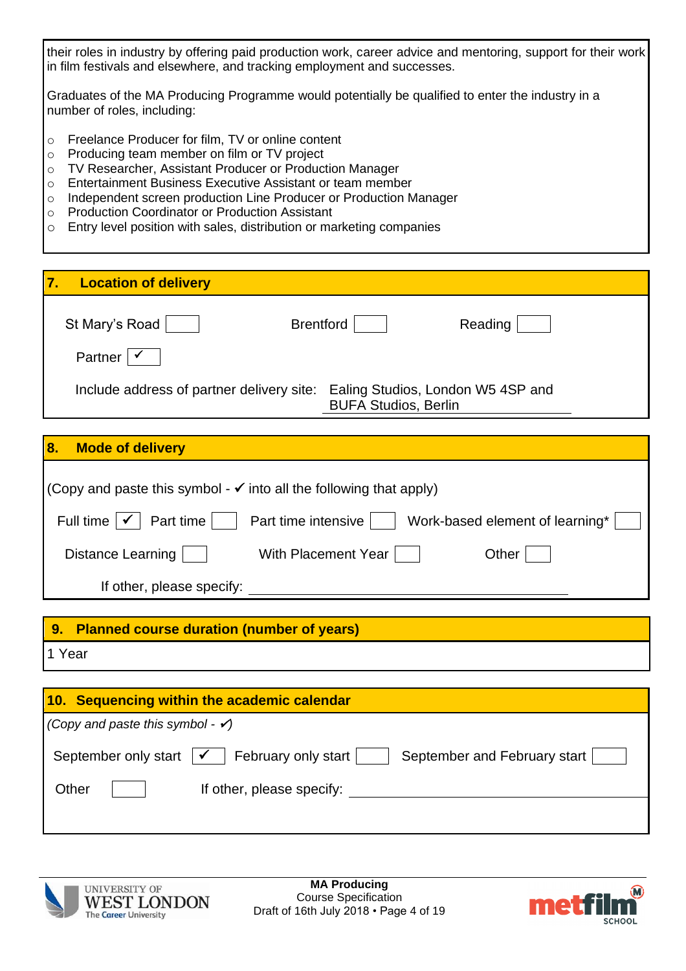their roles in industry by offering paid production work, career advice and mentoring, support for their work in film festivals and elsewhere, and tracking employment and successes.

Graduates of the MA Producing Programme would potentially be qualified to enter the industry in a number of roles, including:

- o Freelance Producer for film, TV or online content
- o Producing team member on film or TV project
- o TV Researcher, Assistant Producer or Production Manager
- o Entertainment Business Executive Assistant or team member
- o Independent screen production Line Producer or Production Manager
- o Production Coordinator or Production Assistant
- o Entry level position with sales, distribution or marketing companies

| $\overline{7}$<br><b>Location of delivery</b> |                                                                  |
|-----------------------------------------------|------------------------------------------------------------------|
| St Mary's Road<br><b>Brentford</b>            | Reading                                                          |
| <b>Partner</b>                                |                                                                  |
| Include address of partner delivery site:     | Ealing Studios, London W5 4SP and<br><b>BUFA Studios, Berlin</b> |

# **8. Mode of delivery**

| (Copy and paste this symbol - $\checkmark$ into all the following that apply)                   |
|-------------------------------------------------------------------------------------------------|
|                                                                                                 |
| Part time<br>Full time $ \checkmark $<br>Part time intensive<br>Work-based element of learning* |
| Distance Learning  <br>With Placement Year<br>Other                                             |
| If other, please specify:                                                                       |
|                                                                                                 |
| <b>Planned course duration (number of years)</b><br>9.                                          |

1 Year

| 10. Sequencing within the academic calendar                                                 |  |
|---------------------------------------------------------------------------------------------|--|
| $\big($ Copy and paste this symbol - $\checkmark$ )                                         |  |
| February only start<br>September and February start  <br>September only start $\mathcal{V}$ |  |
| Other<br>If other, please specify:                                                          |  |
|                                                                                             |  |



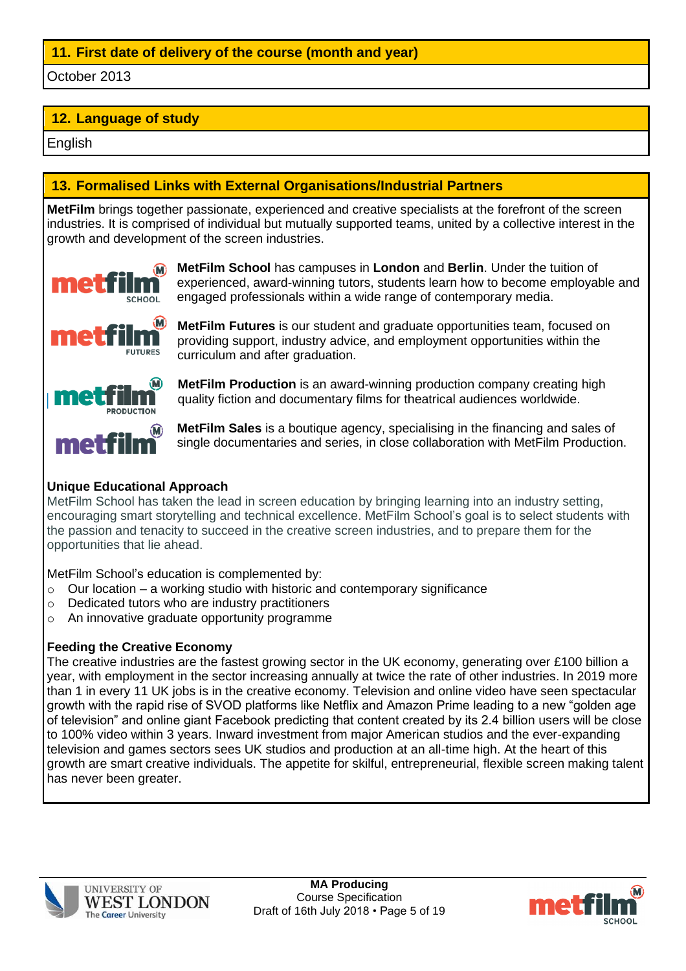# **11. First date of delivery of the course (month and year)**

October 2013

# **12. Language of study**

English

# **13. Formalised Links with External Organisations/Industrial Partners**

**MetFilm** brings together passionate, experienced and creative specialists at the forefront of the screen industries. It is comprised of individual but mutually supported teams, united by a collective interest in the growth and development of the screen industries.



**MetFilm School** has campuses in **London** and **Berlin**. Under the tuition of experienced, award-winning tutors, students learn how to become employable and engaged professionals within a wide range of contemporary media.



**MetFilm Futures** is our student and graduate opportunities team, focused on providing support, industry advice, and employment opportunities within the curriculum and after graduation.



**MetFilm Production** is an award-winning production company creating high quality fiction and documentary films for theatrical audiences worldwide.

**MetFilm Sales** is a boutique agency, specialising in the financing and sales of single documentaries and series, in close collaboration with MetFilm Production.

# **Unique Educational Approach**

MetFilm School has taken the lead in screen education by bringing learning into an industry setting, encouraging smart storytelling and technical excellence. MetFilm School's goal is to select students with the passion and tenacity to succeed in the creative screen industries, and to prepare them for the opportunities that lie ahead.

MetFilm School's education is complemented by:

- $\circ$  Our location a working studio with historic and contemporary significance
- o Dedicated tutors who are industry practitioners
- o An innovative graduate opportunity programme

# **Feeding the Creative Economy**

The creative industries are the fastest growing sector in the UK economy, generating over £100 billion a year, with employment in the sector increasing annually at twice the rate of other industries. In 2019 more than 1 in every 11 UK jobs is in the creative economy. Television and online video have seen spectacular growth with the rapid rise of SVOD platforms like Netflix and Amazon Prime leading to a new "golden age of television" and online giant Facebook predicting that content created by its 2.4 billion users will be close to 100% video within 3 years. Inward investment from major American studios and the ever-expanding television and games sectors sees UK studios and production at an all-time high. At the heart of this growth are smart creative individuals. The appetite for skilful, entrepreneurial, flexible screen making talent has never been greater.



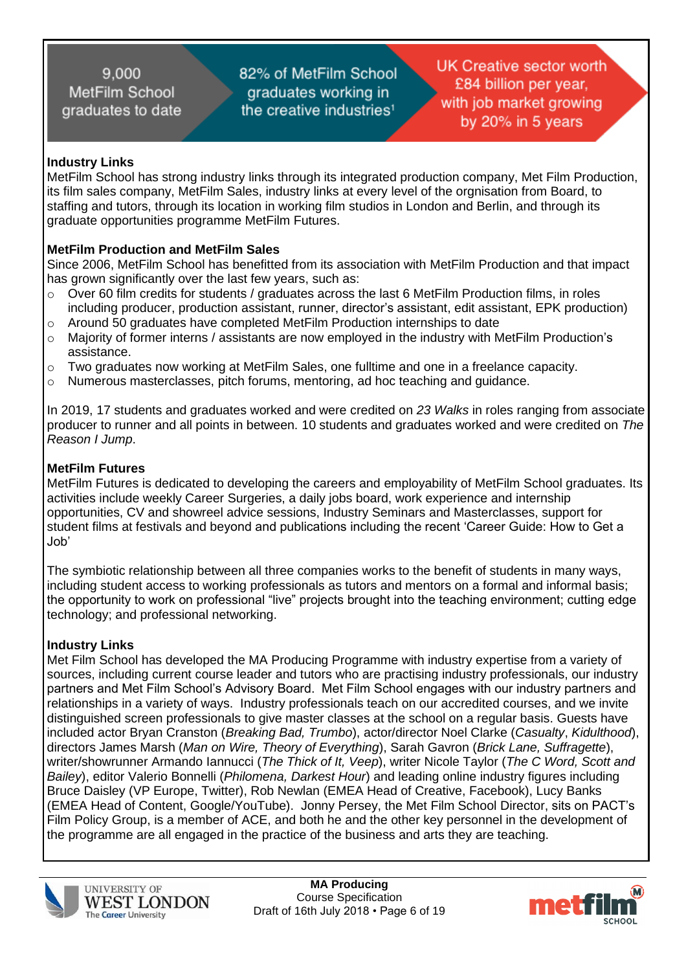82% of MetFilm School graduates working in the creative industries<sup>1</sup>

**UK Creative sector worth** £84 billion per year. with job market growing by 20% in 5 years

### **Industry Links**

MetFilm School has strong industry links through its integrated production company, Met Film Production, its film sales company, MetFilm Sales, industry links at every level of the orgnisation from Board, to staffing and tutors, through its location in working film studios in London and Berlin, and through its graduate opportunities programme MetFilm Futures.

# **MetFilm Production and MetFilm Sales**

Since 2006, MetFilm School has benefitted from its association with MetFilm Production and that impact has grown significantly over the last few years, such as:<br>  $\circ$  Over 60 film credits for students / araduates across to

- Over 60 film credits for students / graduates across the last 6 MetFilm Production films, in roles including producer, production assistant, runner, director's assistant, edit assistant, EPK production) o Around 50 graduates have completed MetFilm Production internships to date
- o Majority of former interns / assistants are now employed in the industry with MetFilm Production's
- assistance.  $\circ$  Two graduates now working at MetFilm Sales, one fulltime and one in a freelance capacity.
- $\circ$  Numerous masterclasses, pitch forums, mentoring, ad hoc teaching and quidance.

In 2019, 17 students and graduates worked and were credited on *23 Walks* in roles ranging from associate producer to runner and all points in between. 10 students and graduates worked and were credited on *The Reason I Jump*.

#### **MetFilm Futures**

MetFilm Futures is dedicated to developing the careers and employability of MetFilm School graduates. Its activities include weekly Career Surgeries, a daily jobs board, work experience and internship opportunities, CV and showreel advice sessions, Industry Seminars and Masterclasses, support for student films at festivals and beyond and publications including the recent 'Career Guide: How to Get a Job'

The symbiotic relationship between all three companies works to the benefit of students in many ways, including student access to working professionals as tutors and mentors on a formal and informal basis; the opportunity to work on professional "live" projects brought into the teaching environment; cutting edge technology; and professional networking.

# **Industry Links**

Met Film School has developed the MA Producing Programme with industry expertise from a variety of sources, including current course leader and tutors who are practising industry professionals, our industry partners and Met Film School's Advisory Board. Met Film School engages with our industry partners and relationships in a variety of ways. Industry professionals teach on our accredited courses, and we invite distinguished screen professionals to give master classes at the school on a regular basis. Guests have included actor Bryan Cranston (*Breaking Bad, Trumbo*), actor/director Noel Clarke (*Casualty*, *Kidulthood*), directors James Marsh (*Man on Wire, Theory of Everything*), Sarah Gavron (*Brick Lane, Suffragette*), writer/showrunner Armando Iannucci (*The Thick of It, Veep*), writer Nicole Taylor (*The C Word, Scott and Bailey*), editor Valerio Bonnelli (*Philomena, Darkest Hour*) and leading online industry figures including Bruce Daisley (VP Europe, Twitter), Rob Newlan (EMEA Head of Creative, Facebook), Lucy Banks (EMEA Head of Content, Google/YouTube). Jonny Persey, the Met Film School Director, sits on PACT's Film Policy Group, is a member of ACE, and both he and the other key personnel in the development of the programme are all engaged in the practice of the business and arts they are teaching.



**MA Producing** Course Specification Draft of 16th July 2018 • Page 6 of 19

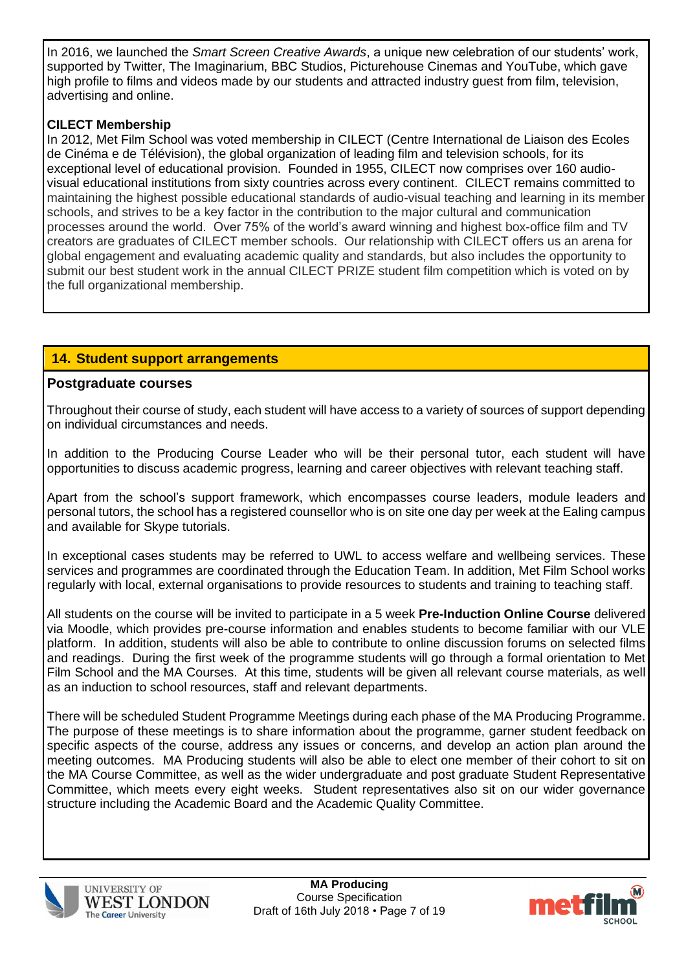In 2016, we launched the *Smart Screen Creative Awards*, a unique new celebration of our students' work, supported by Twitter, The Imaginarium, BBC Studios, Picturehouse Cinemas and YouTube, which gave high profile to films and videos made by our students and attracted industry guest from film, television, advertising and online.

# **CILECT Membership**

In 2012, Met Film School was voted membership in CILECT (Centre International de Liaison des Ecoles de Cinéma e de Télévision), the global organization of leading film and television schools, for its exceptional level of educational provision. Founded in 1955, CILECT now comprises over 160 audiovisual educational institutions from sixty countries across every continent. CILECT remains committed to maintaining the highest possible educational standards of audio-visual teaching and learning in its member schools, and strives to be a key factor in the contribution to the major cultural and communication processes around the world. Over 75% of the world's award winning and highest box-office film and TV creators are graduates of CILECT member schools. Our relationship with CILECT offers us an arena for global engagement and evaluating academic quality and standards, but also includes the opportunity to submit our best student work in the annual CILECT PRIZE student film competition which is voted on by the full organizational membership.

# **14. Student support arrangements**

# **Postgraduate courses**

Throughout their course of study, each student will have access to a variety of sources of support depending on individual circumstances and needs.

In addition to the Producing Course Leader who will be their personal tutor, each student will have opportunities to discuss academic progress, learning and career objectives with relevant teaching staff.

Apart from the school's support framework, which encompasses course leaders, module leaders and personal tutors, the school has a registered counsellor who is on site one day per week at the Ealing campus and available for Skype tutorials.

In exceptional cases students may be referred to UWL to access welfare and wellbeing services. These services and programmes are coordinated through the Education Team. In addition, Met Film School works regularly with local, external organisations to provide resources to students and training to teaching staff.

All students on the course will be invited to participate in a 5 week **Pre-Induction Online Course** delivered via Moodle, which provides pre-course information and enables students to become familiar with our VLE platform. In addition, students will also be able to contribute to online discussion forums on selected films and readings. During the first week of the programme students will go through a formal orientation to Met Film School and the MA Courses. At this time, students will be given all relevant course materials, as well as an induction to school resources, staff and relevant departments.

There will be scheduled Student Programme Meetings during each phase of the MA Producing Programme. The purpose of these meetings is to share information about the programme, garner student feedback on specific aspects of the course, address any issues or concerns, and develop an action plan around the meeting outcomes. MA Producing students will also be able to elect one member of their cohort to sit on the MA Course Committee, as well as the wider undergraduate and post graduate Student Representative Committee, which meets every eight weeks. Student representatives also sit on our wider governance structure including the Academic Board and the Academic Quality Committee.



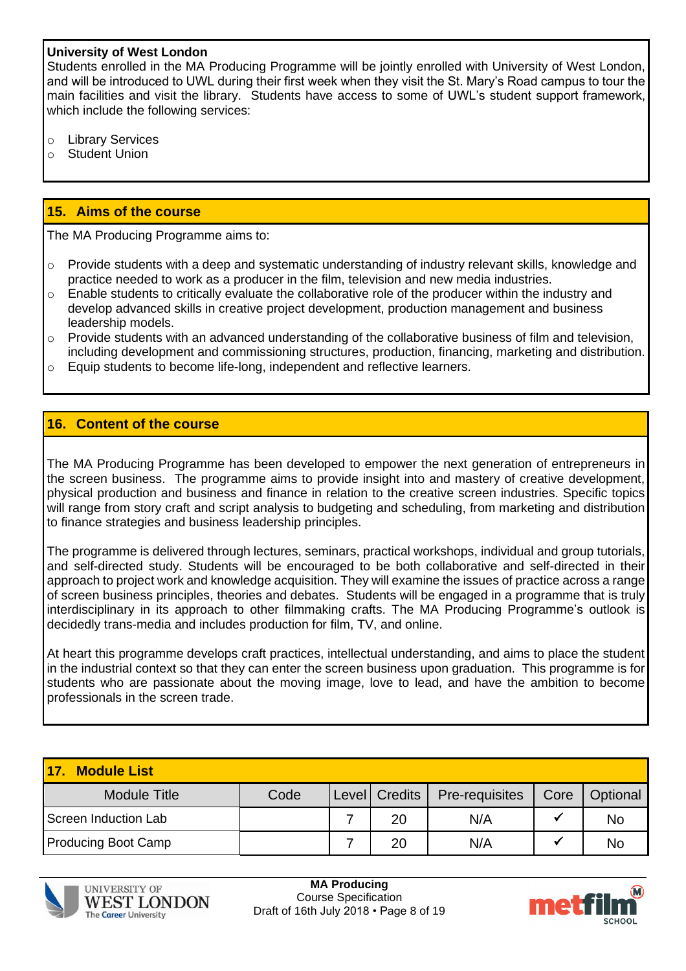#### **University of West London**

Students enrolled in the MA Producing Programme will be jointly enrolled with University of West London, and will be introduced to UWL during their first week when they visit the St. Mary's Road campus to tour the main facilities and visit the library. Students have access to some of UWL's student support framework, which include the following services:

- o Library Services
- o Student Union

#### **15. Aims of the course**

The MA Producing Programme aims to:

- $\circ$  Provide students with a deep and systematic understanding of industry relevant skills, knowledge and practice needed to work as a producer in the film, television and new media industries.
- $\circ$  Enable students to critically evaluate the collaborative role of the producer within the industry and develop advanced skills in creative project development, production management and business leadership models.
- $\circ$  Provide students with an advanced understanding of the collaborative business of film and television, including development and commissioning structures, production, financing, marketing and distribution.
- o Equip students to become life-long, independent and reflective learners.

#### **16. Content of the course**

The MA Producing Programme has been developed to empower the next generation of entrepreneurs in the screen business. The programme aims to provide insight into and mastery of creative development, physical production and business and finance in relation to the creative screen industries. Specific topics will range from story craft and script analysis to budgeting and scheduling, from marketing and distribution to finance strategies and business leadership principles.

The programme is delivered through lectures, seminars, practical workshops, individual and group tutorials, and self-directed study. Students will be encouraged to be both collaborative and self-directed in their approach to project work and knowledge acquisition. They will examine the issues of practice across a range of screen business principles, theories and debates. Students will be engaged in a programme that is truly interdisciplinary in its approach to other filmmaking crafts. The MA Producing Programme's outlook is decidedly trans-media and includes production for film, TV, and online.

At heart this programme develops craft practices, intellectual understanding, and aims to place the student in the industrial context so that they can enter the screen business upon graduation. This programme is for students who are passionate about the moving image, love to lead, and have the ambition to become professionals in the screen trade.

| <b>Module List</b><br><u> 17</u> |      |                 |                |      |           |
|----------------------------------|------|-----------------|----------------|------|-----------|
| <b>Module Title</b>              | Code | Level   Credits | Pre-requisites | Core | Optional  |
| Screen Induction Lab             |      | 20              | N/A            |      | No        |
| <b>Producing Boot Camp</b>       |      | 20              | N/A            |      | <b>No</b> |



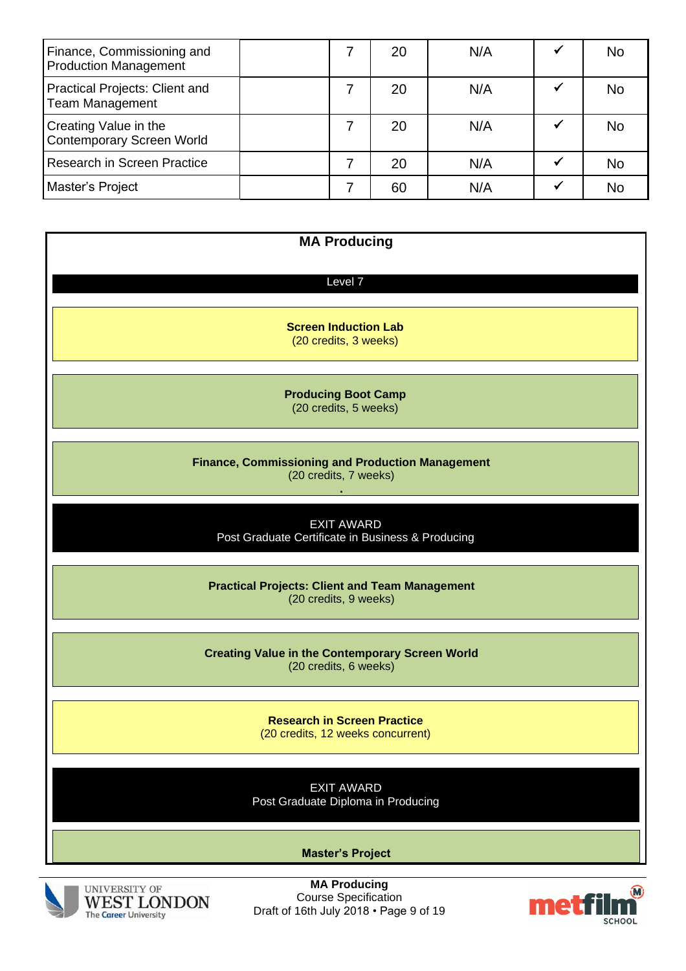| Finance, Commissioning and<br><b>Production Management</b> | 20 | N/A | <b>No</b> |
|------------------------------------------------------------|----|-----|-----------|
| Practical Projects: Client and<br><b>Team Management</b>   | 20 | N/A | <b>No</b> |
| Creating Value in the<br><b>Contemporary Screen World</b>  | 20 | N/A | No        |
| Research in Screen Practice                                | 20 | N/A | <b>No</b> |
| Master's Project                                           | 60 | N/A | No        |

| <b>MA Producing</b>                                                              |
|----------------------------------------------------------------------------------|
| Level 7                                                                          |
|                                                                                  |
| <b>Screen Induction Lab</b><br>(20 credits, 3 weeks)                             |
| <b>Producing Boot Camp</b><br>(20 credits, 5 weeks)                              |
| <b>Finance, Commissioning and Production Management</b><br>(20 credits, 7 weeks) |
| <b>EXIT AWARD</b><br>Post Graduate Certificate in Business & Producing           |
| <b>Practical Projects: Client and Team Management</b><br>(20 credits, 9 weeks)   |
| <b>Creating Value in the Contemporary Screen World</b><br>(20 credits, 6 weeks)  |
| <b>Research in Screen Practice</b><br>(20 credits, 12 weeks concurrent)          |
| <b>EXIT AWARD</b><br>Post Graduate Diploma in Producing                          |
| <b>Master's Project</b>                                                          |



**MA Producing** Course Specification Draft of 16th July 2018 • Page 9 of 19

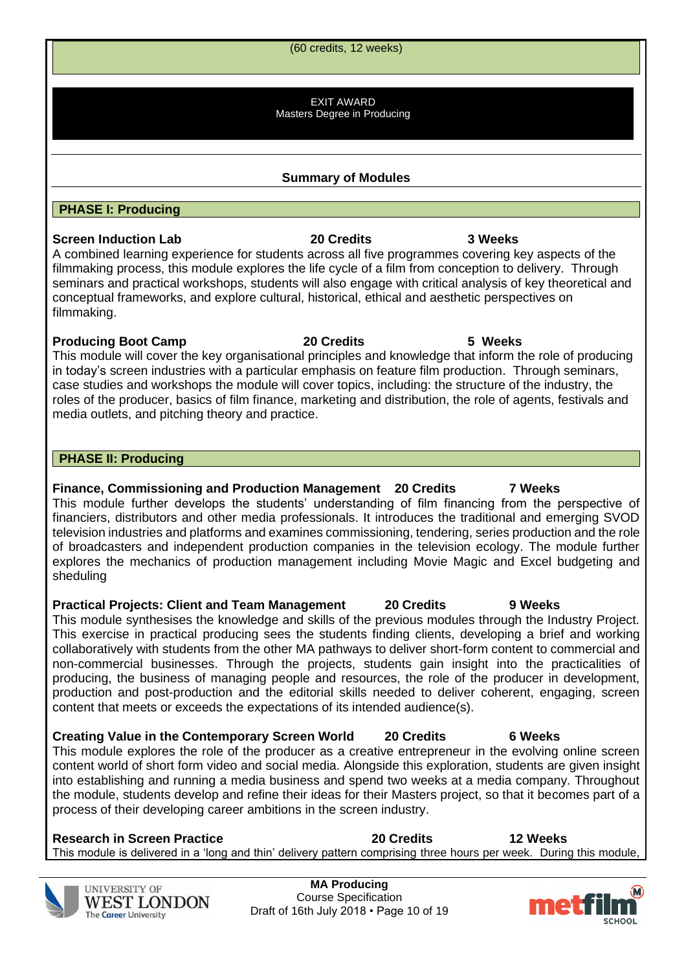**MA Producing** Course Specification Draft of 16th July 2018 • Page 10 of 19

This module is delivered in a 'long and thin' delivery pattern comprising three hours per week. During this module,

# **PHASE II: Producing**

**PHASE I: Producing**

**Finance, Commissioning and Production Management 20 Credits 7 Weeks** This module further develops the students' understanding of film financing from the perspective of financiers, distributors and other media professionals. It introduces the traditional and emerging SVOD television industries and platforms and examines commissioning, tendering, series production and the role of broadcasters and independent production companies in the television ecology. The module further explores the mechanics of production management including Movie Magic and Excel budgeting and sheduling

**Practical Projects: Client and Team Management 20 Credits 9 Weeks** This module synthesises the knowledge and skills of the previous modules through the Industry Project. This exercise in practical producing sees the students finding clients, developing a brief and working collaboratively with students from the other MA pathways to deliver short-form content to commercial and non-commercial businesses. Through the projects, students gain insight into the practicalities of producing, the business of managing people and resources, the role of the producer in development, production and post-production and the editorial skills needed to deliver coherent, engaging, screen content that meets or exceeds the expectations of its intended audience(s).

**Creating Value in the Contemporary Screen World 20 Credits 6 Weeks** This module explores the role of the producer as a creative entrepreneur in the evolving online screen content world of short form video and social media. Alongside this exploration, students are given insight into establishing and running a media business and spend two weeks at a media company. Throughout the module, students develop and refine their ideas for their Masters project, so that it becomes part of a process of their developing career ambitions in the screen industry.

# seminars and practical workshops, students will also engage with critical analysis of key theoretical and conceptual frameworks, and explore cultural, historical, ethical and aesthetic perspectives on filmmaking. **Producing Boot Camp 20 Credits 5 Weeks**

This module will cover the key organisational principles and knowledge that inform the role of producing in today's screen industries with a particular emphasis on feature film production. Through seminars, case studies and workshops the module will cover topics, including: the structure of the industry, the roles of the producer, basics of film finance, marketing and distribution, the role of agents, festivals and media outlets, and pitching theory and practice.

**WEST LONDON** 

**UNIVERSITY OF** 

The Career University

**Research in Screen Practice 20 Credits 12 Weeks**





**Summary of Modules**

(60 credits, 12 weeks)

EXIT AWARD Masters Degree in Producing

A combined learning experience for students across all five programmes covering key aspects of the

**Screen Induction Lab 20 Credits 3 Weeks**

filmmaking process, this module explores the life cycle of a film from conception to delivery. Through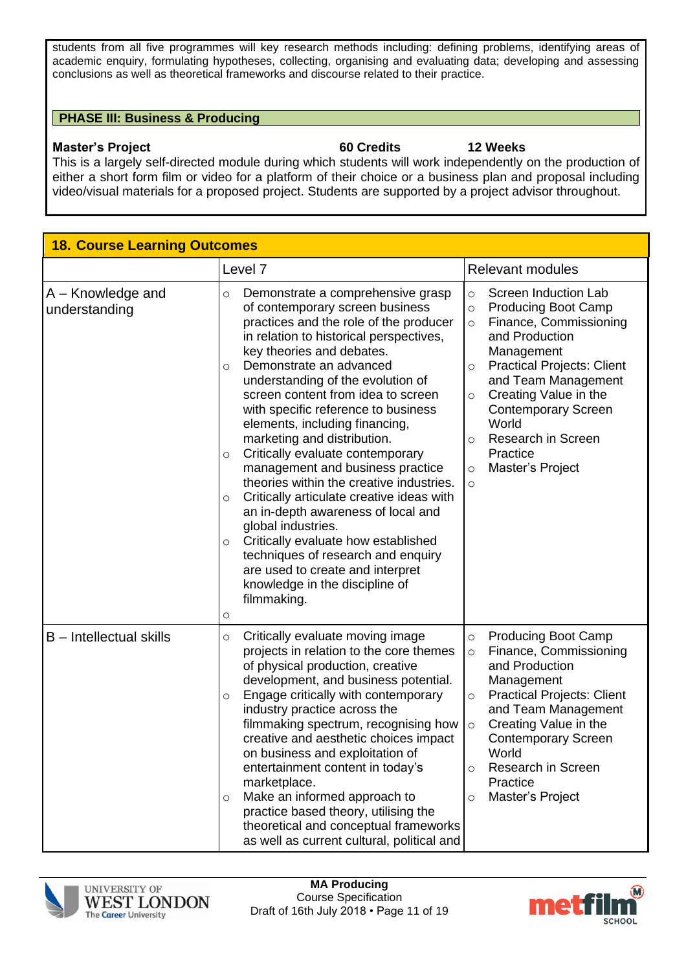students from all five programmes will key research methods including: defining problems, identifying areas of academic enquiry, formulating hypotheses, collecting, organising and evaluating data; developing and assessing conclusions as well as theoretical frameworks and discourse related to their practice.

#### **PHASE III: Business & Producing**

#### **Master's Project 60 Credits 12 Weeks**

This is a largely self-directed module during which students will work independently on the production of either a short form film or video for a platform of their choice or a business plan and proposal including video/visual materials for a proposed project. Students are supported by a project advisor throughout.

| <b>18. Course Learning Outcomes</b> |                                                                                                                                                                                                                                                                                                                                                                                                                                                                                                                                                                                                                                                                                                                                                                                                                                                                 |                                                                                                                                                                                                                                                                                                                                                                                        |  |  |  |
|-------------------------------------|-----------------------------------------------------------------------------------------------------------------------------------------------------------------------------------------------------------------------------------------------------------------------------------------------------------------------------------------------------------------------------------------------------------------------------------------------------------------------------------------------------------------------------------------------------------------------------------------------------------------------------------------------------------------------------------------------------------------------------------------------------------------------------------------------------------------------------------------------------------------|----------------------------------------------------------------------------------------------------------------------------------------------------------------------------------------------------------------------------------------------------------------------------------------------------------------------------------------------------------------------------------------|--|--|--|
|                                     | Level <sub>7</sub>                                                                                                                                                                                                                                                                                                                                                                                                                                                                                                                                                                                                                                                                                                                                                                                                                                              | <b>Relevant modules</b>                                                                                                                                                                                                                                                                                                                                                                |  |  |  |
| A - Knowledge and<br>understanding  | Demonstrate a comprehensive grasp<br>$\circ$<br>of contemporary screen business<br>practices and the role of the producer<br>in relation to historical perspectives,<br>key theories and debates.<br>Demonstrate an advanced<br>$\circ$<br>understanding of the evolution of<br>screen content from idea to screen<br>with specific reference to business<br>elements, including financing,<br>marketing and distribution.<br>Critically evaluate contemporary<br>$\circ$<br>management and business practice<br>theories within the creative industries.<br>Critically articulate creative ideas with<br>$\circ$<br>an in-depth awareness of local and<br>global industries.<br>Critically evaluate how established<br>$\circ$<br>techniques of research and enquiry<br>are used to create and interpret<br>knowledge in the discipline of<br>filmmaking.<br>O | Screen Induction Lab<br>$\circ$<br><b>Producing Boot Camp</b><br>$\circ$<br>Finance, Commissioning<br>$\circ$<br>and Production<br>Management<br><b>Practical Projects: Client</b><br>$\circ$<br>and Team Management<br>Creating Value in the<br>$\circ$<br><b>Contemporary Screen</b><br>World<br>Research in Screen<br>$\circ$<br>Practice<br>Master's Project<br>$\circ$<br>$\circ$ |  |  |  |
| B - Intellectual skills             | Critically evaluate moving image<br>O<br>projects in relation to the core themes<br>of physical production, creative<br>development, and business potential.<br>Engage critically with contemporary<br>$\circ$<br>industry practice across the<br>filmmaking spectrum, recognising how<br>creative and aesthetic choices impact<br>on business and exploitation of<br>entertainment content in today's<br>marketplace.<br>Make an informed approach to<br>$\circ$<br>practice based theory, utilising the<br>theoretical and conceptual frameworks<br>as well as current cultural, political and                                                                                                                                                                                                                                                                | <b>Producing Boot Camp</b><br>$\circ$<br>Finance, Commissioning<br>$\circ$<br>and Production<br>Management<br><b>Practical Projects: Client</b><br>$\circ$<br>and Team Management<br>Creating Value in the<br>$\circ$<br><b>Contemporary Screen</b><br>World<br>Research in Screen<br>$\circ$<br>Practice<br>Master's Project<br>$\circ$                                               |  |  |  |



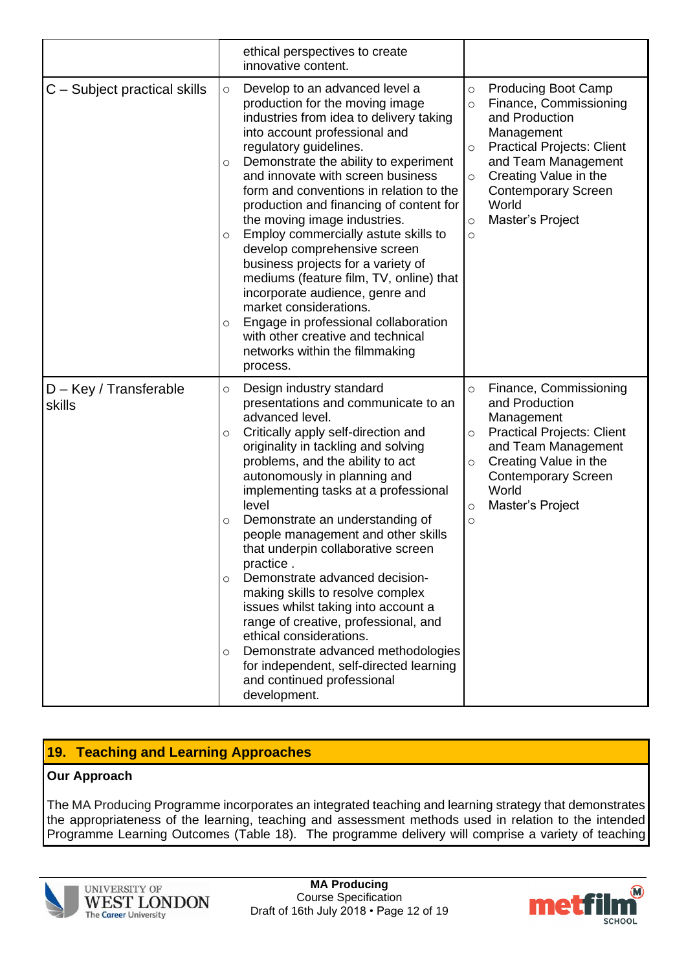|                                    |                                               | ethical perspectives to create<br>innovative content.                                                                                                                                                                                                                                                                                                                                                                                                                                                                                                                                                                                                                                                                            |                                                                |                                                                                                                                                                                                                                      |
|------------------------------------|-----------------------------------------------|----------------------------------------------------------------------------------------------------------------------------------------------------------------------------------------------------------------------------------------------------------------------------------------------------------------------------------------------------------------------------------------------------------------------------------------------------------------------------------------------------------------------------------------------------------------------------------------------------------------------------------------------------------------------------------------------------------------------------------|----------------------------------------------------------------|--------------------------------------------------------------------------------------------------------------------------------------------------------------------------------------------------------------------------------------|
| C – Subject practical skills       | $\circ$<br>$\circ$<br>$\circ$<br>O            | Develop to an advanced level a<br>production for the moving image<br>industries from idea to delivery taking<br>into account professional and<br>regulatory guidelines.<br>Demonstrate the ability to experiment<br>and innovate with screen business<br>form and conventions in relation to the<br>production and financing of content for<br>the moving image industries.<br>Employ commercially astute skills to<br>develop comprehensive screen<br>business projects for a variety of<br>mediums (feature film, TV, online) that<br>incorporate audience, genre and<br>market considerations.<br>Engage in professional collaboration<br>with other creative and technical<br>networks within the filmmaking<br>process.     | $\circ$<br>$\circ$<br>$\circ$<br>$\circ$<br>$\circ$<br>$\circ$ | <b>Producing Boot Camp</b><br>Finance, Commissioning<br>and Production<br>Management<br><b>Practical Projects: Client</b><br>and Team Management<br>Creating Value in the<br><b>Contemporary Screen</b><br>World<br>Master's Project |
| $D - Key / Transferable$<br>skills | $\circ$<br>O<br>$\circ$<br>$\circ$<br>$\circ$ | Design industry standard<br>presentations and communicate to an<br>advanced level.<br>Critically apply self-direction and<br>originality in tackling and solving<br>problems, and the ability to act<br>autonomously in planning and<br>implementing tasks at a professional<br>level<br>Demonstrate an understanding of<br>people management and other skills<br>that underpin collaborative screen<br>practice.<br>Demonstrate advanced decision-<br>making skills to resolve complex<br>issues whilst taking into account a<br>range of creative, professional, and<br>ethical considerations.<br>Demonstrate advanced methodologies<br>for independent, self-directed learning<br>and continued professional<br>development. | $\circ$<br>$\circ$<br>O<br>$\circ$<br>$\circ$                  | Finance, Commissioning<br>and Production<br>Management<br><b>Practical Projects: Client</b><br>and Team Management<br>Creating Value in the<br><b>Contemporary Screen</b><br>World<br>Master's Project                               |

# **19. Teaching and Learning Approaches**

# **Our Approach**

The MA Producing Programme incorporates an integrated teaching and learning strategy that demonstrates the appropriateness of the learning, teaching and assessment methods used in relation to the intended Programme Learning Outcomes (Table 18). The programme delivery will comprise a variety of teaching



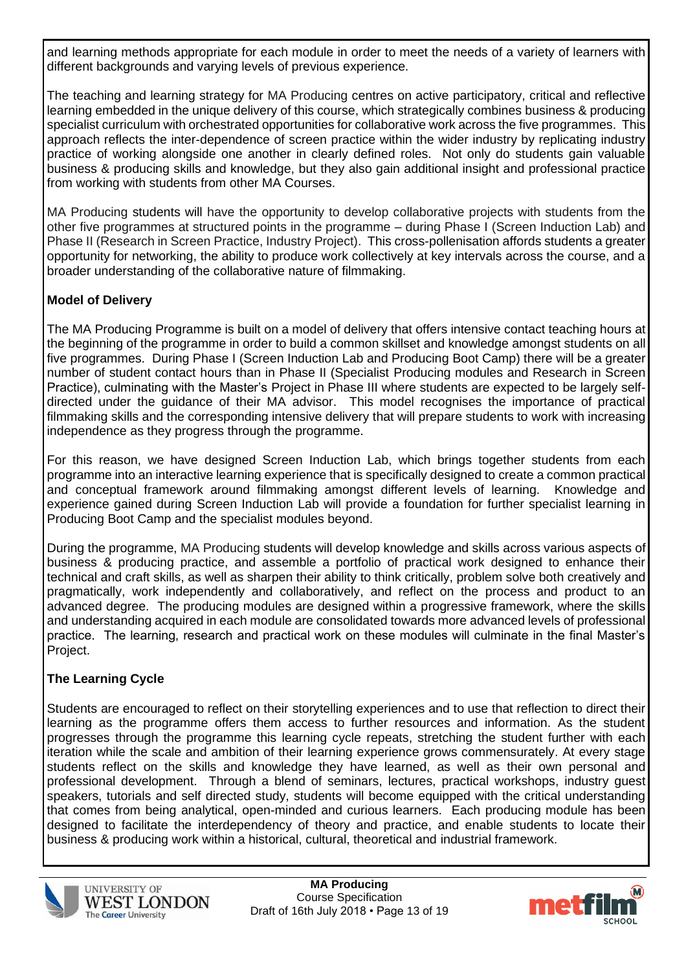and learning methods appropriate for each module in order to meet the needs of a variety of learners with different backgrounds and varying levels of previous experience.

The teaching and learning strategy for MA Producing centres on active participatory, critical and reflective learning embedded in the unique delivery of this course, which strategically combines business & producing specialist curriculum with orchestrated opportunities for collaborative work across the five programmes. This approach reflects the inter-dependence of screen practice within the wider industry by replicating industry practice of working alongside one another in clearly defined roles. Not only do students gain valuable business & producing skills and knowledge, but they also gain additional insight and professional practice from working with students from other MA Courses.

MA Producing students will have the opportunity to develop collaborative projects with students from the other five programmes at structured points in the programme – during Phase I (Screen Induction Lab) and Phase II (Research in Screen Practice, Industry Project). This cross-pollenisation affords students a greater opportunity for networking, the ability to produce work collectively at key intervals across the course, and a broader understanding of the collaborative nature of filmmaking.

# **Model of Delivery**

The MA Producing Programme is built on a model of delivery that offers intensive contact teaching hours at the beginning of the programme in order to build a common skillset and knowledge amongst students on all five programmes. During Phase I (Screen Induction Lab and Producing Boot Camp) there will be a greater number of student contact hours than in Phase II (Specialist Producing modules and Research in Screen Practice), culminating with the Master's Project in Phase III where students are expected to be largely selfdirected under the guidance of their MA advisor. This model recognises the importance of practical filmmaking skills and the corresponding intensive delivery that will prepare students to work with increasing independence as they progress through the programme.

For this reason, we have designed Screen Induction Lab, which brings together students from each programme into an interactive learning experience that is specifically designed to create a common practical and conceptual framework around filmmaking amongst different levels of learning. Knowledge and experience gained during Screen Induction Lab will provide a foundation for further specialist learning in Producing Boot Camp and the specialist modules beyond.

During the programme, MA Producing students will develop knowledge and skills across various aspects of business & producing practice, and assemble a portfolio of practical work designed to enhance their technical and craft skills, as well as sharpen their ability to think critically, problem solve both creatively and pragmatically, work independently and collaboratively, and reflect on the process and product to an advanced degree. The producing modules are designed within a progressive framework, where the skills and understanding acquired in each module are consolidated towards more advanced levels of professional practice. The learning, research and practical work on these modules will culminate in the final Master's Project.

# **The Learning Cycle**

Students are encouraged to reflect on their storytelling experiences and to use that reflection to direct their learning as the programme offers them access to further resources and information. As the student progresses through the programme this learning cycle repeats, stretching the student further with each iteration while the scale and ambition of their learning experience grows commensurately. At every stage students reflect on the skills and knowledge they have learned, as well as their own personal and professional development. Through a blend of seminars, lectures, practical workshops, industry guest speakers, tutorials and self directed study, students will become equipped with the critical understanding that comes from being analytical, open-minded and curious learners. Each producing module has been designed to facilitate the interdependency of theory and practice, and enable students to locate their business & producing work within a historical, cultural, theoretical and industrial framework.



**UNIVERSITY OF WEST LONDON The Career University** 

**MA Producing** Course Specification Draft of 16th July 2018 • Page 13 of 19

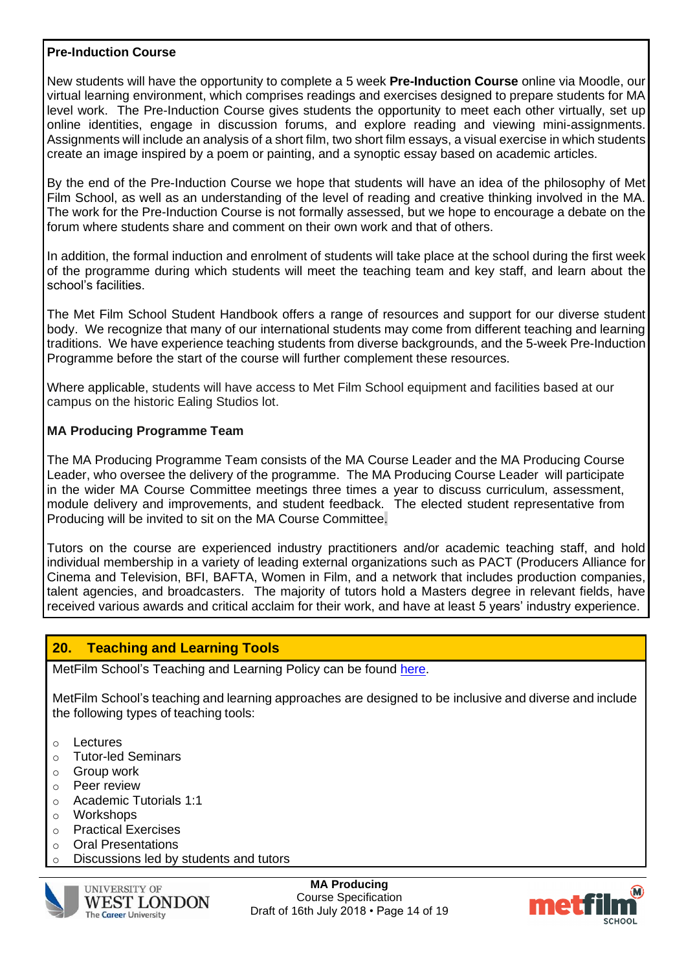#### **Pre-Induction Course**

New students will have the opportunity to complete a 5 week **Pre-Induction Course** online via Moodle, our virtual learning environment, which comprises readings and exercises designed to prepare students for MA level work. The Pre-Induction Course gives students the opportunity to meet each other virtually, set up online identities, engage in discussion forums, and explore reading and viewing mini-assignments. Assignments will include an analysis of a short film, two short film essays, a visual exercise in which students create an image inspired by a poem or painting, and a synoptic essay based on academic articles.

By the end of the Pre-Induction Course we hope that students will have an idea of the philosophy of Met Film School, as well as an understanding of the level of reading and creative thinking involved in the MA. The work for the Pre-Induction Course is not formally assessed, but we hope to encourage a debate on the forum where students share and comment on their own work and that of others.

In addition, the formal induction and enrolment of students will take place at the school during the first week of the programme during which students will meet the teaching team and key staff, and learn about the school's facilities.

The Met Film School Student Handbook offers a range of resources and support for our diverse student body. We recognize that many of our international students may come from different teaching and learning traditions. We have experience teaching students from diverse backgrounds, and the 5-week Pre-Induction Programme before the start of the course will further complement these resources.

Where applicable, students will have access to Met Film School equipment and facilities based at our campus on the historic Ealing Studios lot.

### **MA Producing Programme Team**

The MA Producing Programme Team consists of the MA Course Leader and the MA Producing Course Leader, who oversee the delivery of the programme. The MA Producing Course Leader will participate in the wider MA Course Committee meetings three times a year to discuss curriculum, assessment, module delivery and improvements, and student feedback. The elected student representative from Producing will be invited to sit on the MA Course Committee.

Tutors on the course are experienced industry practitioners and/or academic teaching staff, and hold individual membership in a variety of leading external organizations such as PACT (Producers Alliance for Cinema and Television, BFI, BAFTA, Women in Film, and a network that includes production companies, talent agencies, and broadcasters. The majority of tutors hold a Masters degree in relevant fields, have received various awards and critical acclaim for their work, and have at least 5 years' industry experience.

# **20. Teaching and Learning Tools**

MetFilm School's Teaching and Learning Policy can be found [here.](https://moodle.metfilmschool.ac.uk/moodle/pluginfile.php/48261/mod_resource/content/5/MetFilm_School_teaching%20and%20learning%20policy%20.pdf)

MetFilm School's teaching and learning approaches are designed to be inclusive and diverse and include the following types of teaching tools:

- o Lectures
- o Tutor-led Seminars
- o Group work
- o Peer review
- o Academic Tutorials 1:1
- o Workshops
- o Practical Exercises
- o Oral Presentations
- o Discussions led by students and tutors



**MA Producing** Course Specification Draft of 16th July 2018 • Page 14 of 19

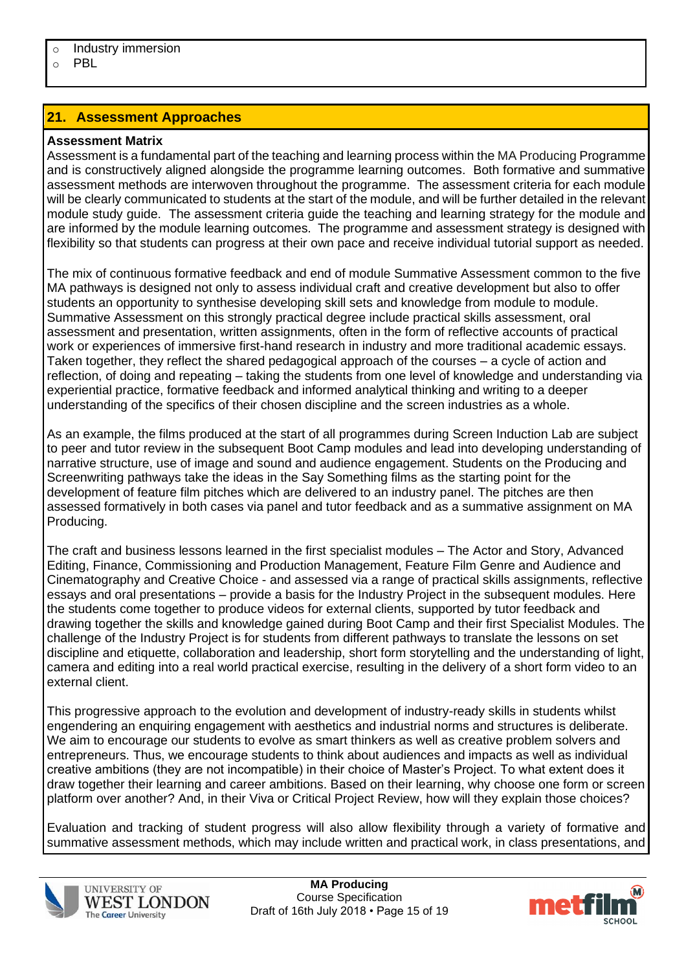o PBL

# **21. Assessment Approaches**

#### **Assessment Matrix**

Assessment is a fundamental part of the teaching and learning process within the MA Producing Programme and is constructively aligned alongside the programme learning outcomes. Both formative and summative assessment methods are interwoven throughout the programme. The assessment criteria for each module will be clearly communicated to students at the start of the module, and will be further detailed in the relevant module study guide. The assessment criteria guide the teaching and learning strategy for the module and are informed by the module learning outcomes. The programme and assessment strategy is designed with flexibility so that students can progress at their own pace and receive individual tutorial support as needed.

The mix of continuous formative feedback and end of module Summative Assessment common to the five MA pathways is designed not only to assess individual craft and creative development but also to offer students an opportunity to synthesise developing skill sets and knowledge from module to module. Summative Assessment on this strongly practical degree include practical skills assessment, oral assessment and presentation, written assignments, often in the form of reflective accounts of practical work or experiences of immersive first-hand research in industry and more traditional academic essays. Taken together, they reflect the shared pedagogical approach of the courses – a cycle of action and reflection, of doing and repeating – taking the students from one level of knowledge and understanding via experiential practice, formative feedback and informed analytical thinking and writing to a deeper understanding of the specifics of their chosen discipline and the screen industries as a whole.

As an example, the films produced at the start of all programmes during Screen Induction Lab are subject to peer and tutor review in the subsequent Boot Camp modules and lead into developing understanding of narrative structure, use of image and sound and audience engagement. Students on the Producing and Screenwriting pathways take the ideas in the Say Something films as the starting point for the development of feature film pitches which are delivered to an industry panel. The pitches are then assessed formatively in both cases via panel and tutor feedback and as a summative assignment on MA Producing.

The craft and business lessons learned in the first specialist modules – The Actor and Story, Advanced Editing, Finance, Commissioning and Production Management, Feature Film Genre and Audience and Cinematography and Creative Choice - and assessed via a range of practical skills assignments, reflective essays and oral presentations – provide a basis for the Industry Project in the subsequent modules. Here the students come together to produce videos for external clients, supported by tutor feedback and drawing together the skills and knowledge gained during Boot Camp and their first Specialist Modules. The challenge of the Industry Project is for students from different pathways to translate the lessons on set discipline and etiquette, collaboration and leadership, short form storytelling and the understanding of light, camera and editing into a real world practical exercise, resulting in the delivery of a short form video to an external client.

This progressive approach to the evolution and development of industry-ready skills in students whilst engendering an enquiring engagement with aesthetics and industrial norms and structures is deliberate. We aim to encourage our students to evolve as smart thinkers as well as creative problem solvers and entrepreneurs. Thus, we encourage students to think about audiences and impacts as well as individual creative ambitions (they are not incompatible) in their choice of Master's Project. To what extent does it draw together their learning and career ambitions. Based on their learning, why choose one form or screen platform over another? And, in their Viva or Critical Project Review, how will they explain those choices?

Evaluation and tracking of student progress will also allow flexibility through a variety of formative and summative assessment methods, which may include written and practical work, in class presentations, and



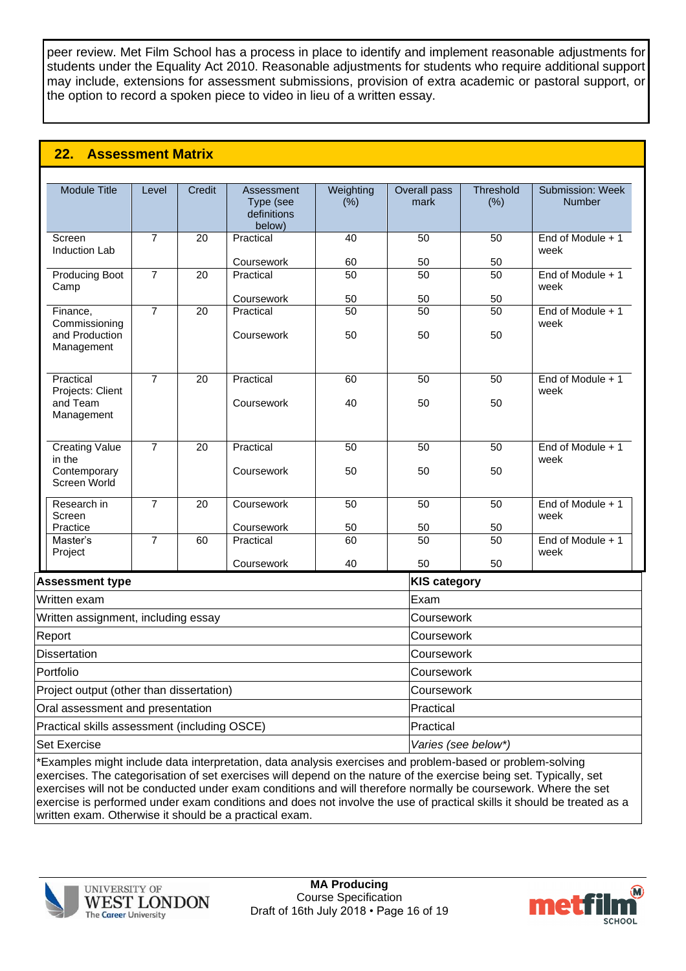peer review. Met Film School has a process in place to identify and implement reasonable adjustments for students under the Equality Act 2010. Reasonable adjustments for students who require additional support may include, extensions for assessment submissions, provision of extra academic or pastoral support, or the option to record a spoken piece to video in lieu of a written essay.

# **22. Assessment Matrix**

| <b>Module Title</b>                                             | Level          | <b>Credit</b>   | Assessment<br>Type (see<br>definitions<br>below) | Weighting<br>(% )     | Overall pass<br>mark  | Threshold<br>(% ) | Submission: Week<br>Number |  |
|-----------------------------------------------------------------|----------------|-----------------|--------------------------------------------------|-----------------------|-----------------------|-------------------|----------------------------|--|
| Screen<br>Induction Lab                                         | $\overline{7}$ | 20              | Practical                                        | 40                    | $\overline{50}$       | 50                | End of Module + 1<br>week  |  |
|                                                                 |                |                 | Coursework                                       | 60                    | 50                    | 50                |                            |  |
| <b>Producing Boot</b><br>Camp                                   | $\overline{7}$ | $\overline{20}$ | Practical                                        | 50                    | $\overline{50}$       | 50                | End of Module + 1<br>week  |  |
| Finance,                                                        | $\overline{7}$ | 20              | Coursework<br>Practical                          | 50<br>50              | 50<br>50              | 50<br>50          | End of Module + 1          |  |
| Commissioning<br>and Production<br>Management                   |                |                 | Coursework                                       | 50                    | 50                    | 50                | week                       |  |
| Practical                                                       | $\overline{7}$ | $\overline{20}$ | Practical                                        | 60                    | $\overline{50}$       | 50                | End of Module + 1          |  |
| Projects: Client<br>and Team<br>Management                      |                |                 | Coursework                                       | 40                    | 50                    | 50                | week                       |  |
| <b>Creating Value</b><br>in the<br>Contemporary<br>Screen World | $\overline{7}$ | $\overline{20}$ | Practical<br>Coursework                          | $\overline{50}$<br>50 | $\overline{50}$<br>50 | 50<br>50          | End of Module + 1<br>week  |  |
| Research in<br>Screen                                           | $\overline{7}$ | $\overline{20}$ | Coursework                                       | $\overline{50}$       | $\overline{50}$       | 50                | End of Module + 1<br>week  |  |
| Practice                                                        |                |                 | Coursework                                       | 50                    | 50                    | 50                |                            |  |
| Master's<br>Project                                             | $\overline{7}$ | 60              | Practical                                        | 60                    | 50                    | 50                | End of Module + 1<br>week  |  |
|                                                                 |                |                 | Coursework                                       | 40                    | 50                    | 50                |                            |  |
| <b>Assessment type</b>                                          |                |                 |                                                  |                       | <b>KIS category</b>   |                   |                            |  |
| Written exam                                                    |                |                 |                                                  |                       | Exam                  |                   |                            |  |
| Written assignment, including essay                             |                |                 |                                                  |                       |                       | Coursework        |                            |  |
| Report                                                          |                |                 |                                                  |                       |                       | Coursework        |                            |  |
| <b>Dissertation</b>                                             |                |                 |                                                  |                       | Coursework            |                   |                            |  |
| Portfolio                                                       |                |                 |                                                  |                       | Coursework            |                   |                            |  |
| Project output (other than dissertation)                        |                |                 |                                                  | Coursework            |                       |                   |                            |  |
| Oral assessment and presentation                                |                |                 | Practical                                        |                       |                       |                   |                            |  |
| Practical skills assessment (including OSCE)                    |                |                 |                                                  | Practical             |                       |                   |                            |  |

Set Exercise *Varies (see below\*)*

\*Examples might include data interpretation, data analysis exercises and problem-based or problem-solving exercises. The categorisation of set exercises will depend on the nature of the exercise being set. Typically, set exercises will not be conducted under exam conditions and will therefore normally be coursework. Where the set exercise is performed under exam conditions and does not involve the use of practical skills it should be treated as a written exam. Otherwise it should be a practical exam.



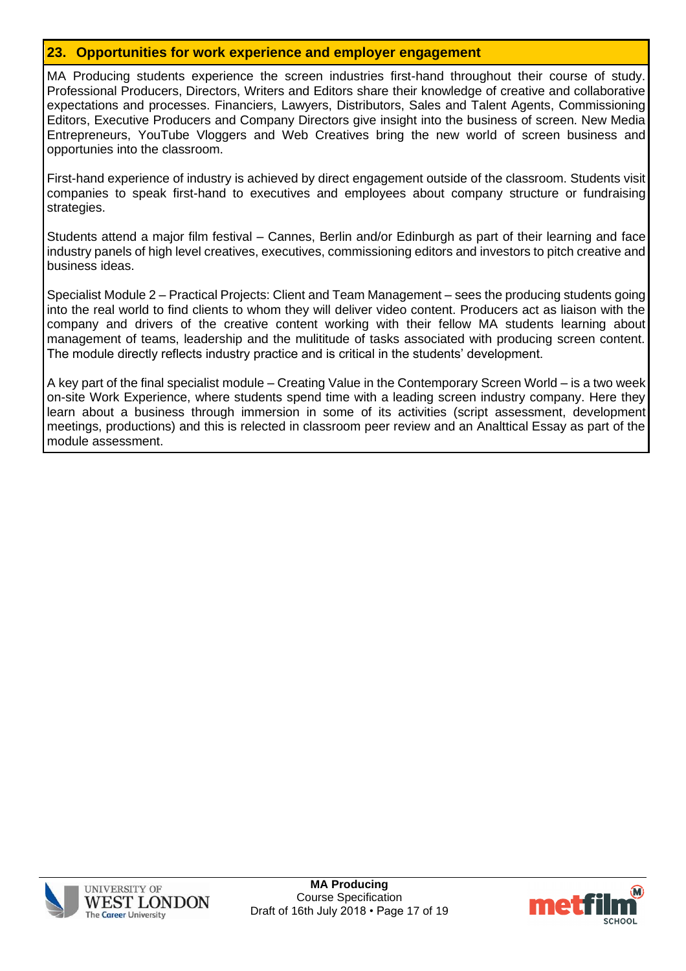#### **23. Opportunities for work experience and employer engagement**

MA Producing students experience the screen industries first-hand throughout their course of study. Professional Producers, Directors, Writers and Editors share their knowledge of creative and collaborative expectations and processes. Financiers, Lawyers, Distributors, Sales and Talent Agents, Commissioning Editors, Executive Producers and Company Directors give insight into the business of screen. New Media Entrepreneurs, YouTube Vloggers and Web Creatives bring the new world of screen business and opportunies into the classroom.

First-hand experience of industry is achieved by direct engagement outside of the classroom. Students visit companies to speak first-hand to executives and employees about company structure or fundraising strategies.

Students attend a major film festival – Cannes, Berlin and/or Edinburgh as part of their learning and face industry panels of high level creatives, executives, commissioning editors and investors to pitch creative and business ideas.

Specialist Module 2 – Practical Projects: Client and Team Management – sees the producing students going into the real world to find clients to whom they will deliver video content. Producers act as liaison with the company and drivers of the creative content working with their fellow MA students learning about management of teams, leadership and the mulititude of tasks associated with producing screen content. The module directly reflects industry practice and is critical in the students' development.

A key part of the final specialist module – Creating Value in the Contemporary Screen World – is a two week on-site Work Experience, where students spend time with a leading screen industry company. Here they learn about a business through immersion in some of its activities (script assessment, development meetings, productions) and this is relected in classroom peer review and an Analttical Essay as part of the module assessment.



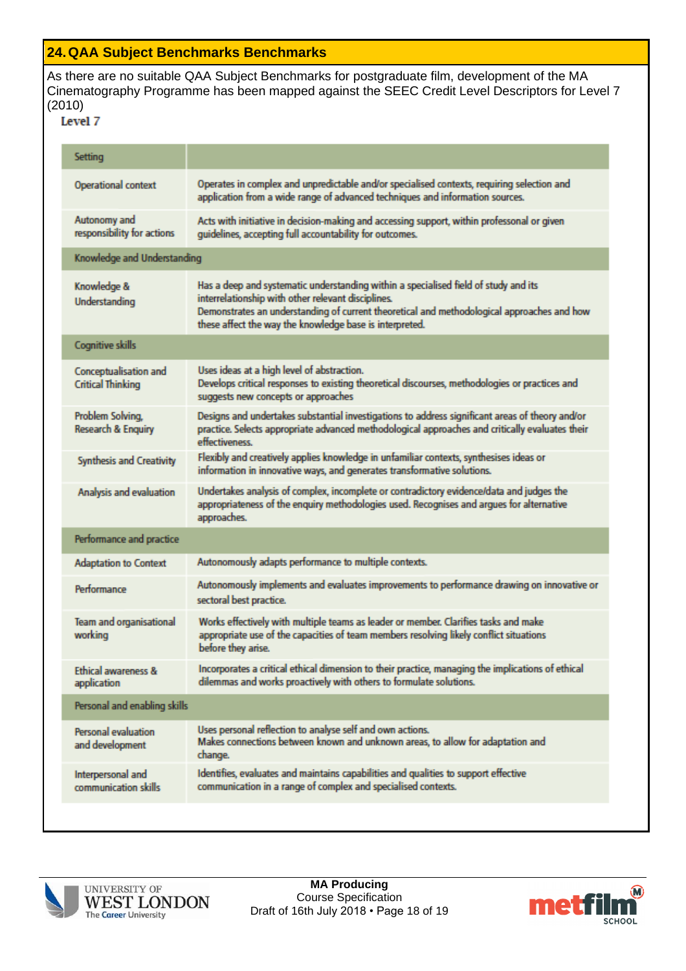### **24.QAA Subject Benchmarks Benchmarks**

As there are no suitable QAA Subject Benchmarks for postgraduate film, development of the MA Cinematography Programme has been mapped against the SEEC Credit Level Descriptors for Level 7 (2010)

| Setting                                           |                                                                                                                                                                                                                                                                                                    |  |  |  |
|---------------------------------------------------|----------------------------------------------------------------------------------------------------------------------------------------------------------------------------------------------------------------------------------------------------------------------------------------------------|--|--|--|
| <b>Operational context</b>                        | Operates in complex and unpredictable and/or specialised contexts, requiring selection and<br>application from a wide range of advanced techniques and information sources.                                                                                                                        |  |  |  |
| Autonomy and<br>responsibility for actions        | Acts with initiative in decision-making and accessing support, within professonal or given<br>guidelines, accepting full accountability for outcomes.                                                                                                                                              |  |  |  |
| Knowledge and Understanding                       |                                                                                                                                                                                                                                                                                                    |  |  |  |
| Knowledge &<br>Understanding                      | Has a deep and systematic understanding within a specialised field of study and its<br>interrelationship with other relevant disciplines.<br>Demonstrates an understanding of current theoretical and methodological approaches and how<br>these affect the way the knowledge base is interpreted. |  |  |  |
| <b>Cognitive skills</b>                           |                                                                                                                                                                                                                                                                                                    |  |  |  |
| Conceptualisation and<br><b>Critical Thinking</b> | Uses ideas at a high level of abstraction.<br>Develops critical responses to existing theoretical discourses, methodologies or practices and<br>suggests new concepts or approaches                                                                                                                |  |  |  |
| Problem Solving,<br><b>Research &amp; Enquiry</b> | Designs and undertakes substantial investigations to address significant areas of theory and/or<br>practice. Selects appropriate advanced methodological approaches and critically evaluates their<br>effectiveness.                                                                               |  |  |  |
| <b>Synthesis and Creativity</b>                   | Flexibly and creatively applies knowledge in unfamiliar contexts, synthesises ideas or<br>information in innovative ways, and generates transformative solutions.                                                                                                                                  |  |  |  |
| Analysis and evaluation                           | Undertakes analysis of complex, incomplete or contradictory evidence/data and judges the<br>appropriateness of the enquiry methodologies used. Recognises and argues for alternative<br>approaches.                                                                                                |  |  |  |
| <b>Performance and practice</b>                   |                                                                                                                                                                                                                                                                                                    |  |  |  |
| <b>Adaptation to Context</b>                      | Autonomously adapts performance to multiple contexts.                                                                                                                                                                                                                                              |  |  |  |
| Performance                                       | Autonomously implements and evaluates improvements to performance drawing on innovative or<br>sectoral best practice.                                                                                                                                                                              |  |  |  |
| Team and organisational<br>working                | Works effectively with multiple teams as leader or member. Clarifies tasks and make<br>appropriate use of the capacities of team members resolving likely conflict situations<br>before they arise.                                                                                                |  |  |  |
| <b>Ethical awareness &amp;</b><br>application     | Incorporates a critical ethical dimension to their practice, managing the implications of ethical<br>dilemmas and works proactively with others to formulate solutions.                                                                                                                            |  |  |  |
| Personal and enabling skills                      |                                                                                                                                                                                                                                                                                                    |  |  |  |
| <b>Personal evaluation</b><br>and development     | Uses personal reflection to analyse self and own actions.<br>Makes connections between known and unknown areas, to allow for adaptation and<br>change.                                                                                                                                             |  |  |  |
| Interpersonal and<br>communication skills         | Identifies, evaluates and maintains capabilities and qualities to support effective<br>communication in a range of complex and specialised contexts.                                                                                                                                               |  |  |  |